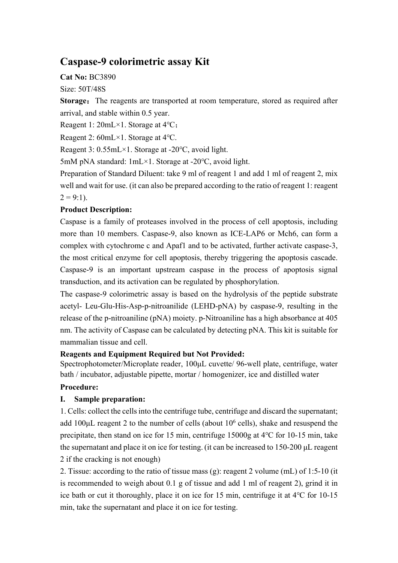# **Caspase-9 colorimetric assay Kit**

**Cat No:** BC3890

Size: 50T/48S

**Storage:** The reagents are transported at room temperature, stored as required after arrival, and stable within 0.5 year.

Reagent 1: 20mL×1. Storage at 4℃;

Reagent 2: 60mL×1. Storage at 4℃.

Reagent 3: 0.55mL×1. Storage at -20℃, avoid light.

5mM pNA standard: 1mL×1. Storage at -20℃, avoid light.

Preparation of Standard Diluent: take 9 ml of reagent 1 and add 1 ml of reagent 2, mix well and wait for use. (it can also be prepared according to the ratio of reagent 1: reagent  $2 = 9:1$ ).

## **Product Description:**

Caspase is a family of proteases involved in the process of cell apoptosis, including more than 10 members. Caspase-9, also known as ICE-LAP6 or Mch6, can form a complex with cytochrome c and Apaf1 and to be activated, further activate caspase-3, the most critical enzyme for cell apoptosis, thereby triggering the apoptosis cascade. Caspase-9 is an important upstream caspase in the process of apoptosis signal transduction, and its activation can be regulated by phosphorylation.

The caspase-9 colorimetric assay is based on the hydrolysis of the peptide substrate acetyl- Leu-Glu-His-Asp-p-nitroanilide (LEHD-pNA) by caspase-9, resulting in the release of the p-nitroaniline (pNA) moiety. p-Nitroaniline has a high absorbance at 405 nm. The activity of Caspase can be calculated by detecting pNA. This kit is suitable for mammalian tissue and cell.

### **Reagents and Equipment Required but Not Provided:**

Spectrophotometer/Microplate reader, 100μL cuvette/ 96-well plate, centrifuge, water bath / incubator, adjustable pipette, mortar / homogenizer, ice and distilled water

## **Procedure:**

## **I. Sample preparation:**

1. Cells: collect the cells into the centrifuge tube, centrifuge and discard the supernatant; add  $100 \mu$ L reagent 2 to the number of cells (about  $10^6$  cells), shake and resuspend the precipitate, then stand on ice for 15 min, centrifuge 15000g at 4℃ for 10-15 min, take the supernatant and place it on ice for testing. (it can be increased to 150-200 μL reagent 2 if the cracking is not enough)

2. Tissue: according to the ratio of tissue mass (g): reagent 2 volume (mL) of 1:5-10 (it is recommended to weigh about 0.1 g of tissue and add 1 ml of reagent 2), grind it in ice bath or cut it thoroughly, place it on ice for 15 min, centrifuge it at 4℃ for 10-15 min, take the supernatant and place it on ice for testing.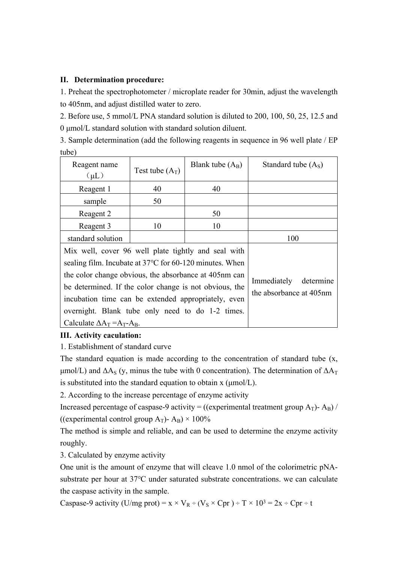#### **II. Determination procedure:**

1. Preheat the spectrophotometer / microplate reader for 30min, adjust the wavelength to 405nm, and adjust distilled water to zero.

2. Before use, 5 mmol/L PNA standard solution is diluted to 200, 100, 50, 25, 12.5 and 0 μmol/L standard solution with standard solution diluent.

3. Sample determination (add the following reagents in sequence in 96 well plate / EP tube)

| Reagent name                                            | Test tube $(A_T)$ | Blank tube $(A_B)$ | Standard tube $(AS)$                                |
|---------------------------------------------------------|-------------------|--------------------|-----------------------------------------------------|
| $(\mu L)$                                               |                   |                    |                                                     |
| Reagent 1                                               | 40                | 40                 |                                                     |
| sample                                                  | 50                |                    |                                                     |
| Reagent 2                                               |                   | 50                 |                                                     |
| Reagent 3                                               | 10                | 10                 |                                                     |
| standard solution                                       |                   |                    | 100                                                 |
| Mix well, cover 96 well plate tightly and seal with     |                   |                    |                                                     |
| sealing film. Incubate at 37°C for 60-120 minutes. When |                   |                    | Immediately<br>determine<br>the absorbance at 405nm |
| the color change obvious, the absorbance at 405nm can   |                   |                    |                                                     |
| be determined. If the color change is not obvious, the  |                   |                    |                                                     |
| incubation time can be extended appropriately, even     |                   |                    |                                                     |
| overnight. Blank tube only need to do 1-2 times.        |                   |                    |                                                     |
| Calculate $\Delta A_T = A_T - A_B$ .                    |                   |                    |                                                     |

#### **III. Activity caculation:**

1. Establishment of standard curve

The standard equation is made according to the concentration of standard tube (x, μmol/L) and  $ΔA<sub>S</sub>$  (y, minus the tube with 0 concentration). The determination of  $ΔA<sub>T</sub>$ is substituted into the standard equation to obtain x (μmol/L).

2. According to the increase percentage of enzyme activity

Increased percentage of caspase-9 activity = ((experimental treatment group  $A_T$ )-  $A_B$ ) / ((experimental control group  $A_T$ )-  $A_B$ ) × 100%

The method is simple and reliable, and can be used to determine the enzyme activity roughly.

3. Calculated by enzyme activity

One unit is the amount of enzyme that will cleave 1.0 nmol of the colorimetric pNAsubstrate per hour at 37℃ under saturated substrate concentrations. we can calculate the caspase activity in the sample.

Caspase-9 activity (U/mg prot) =  $x \times V_R$  ÷ ( $V_S \times Cpr$ ) ÷ T  $\times$  10<sup>3</sup> = 2x ÷ Cpr ÷ t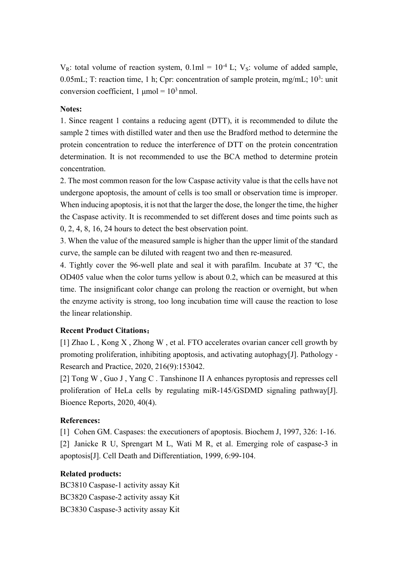$V_R$ : total volume of reaction system,  $0.1ml = 10^{-4}$  L;  $V_S$ : volume of added sample, 0.05mL; T: reaction time, 1 h; Cpr: concentration of sample protein, mg/mL;  $10^3$ : unit conversion coefficient,  $1 \text{ \mu}$ mol =  $10^3 \text{ \mu}$ mol.

#### **Notes:**

1. Since reagent 1 contains a reducing agent (DTT), it is recommended to dilute the sample 2 times with distilled water and then use the Bradford method to determine the protein concentration to reduce the interference of DTT on the protein concentration determination. It is not recommended to use the BCA method to determine protein concentration.

2. The most common reason for the low Caspase activity value is that the cells have not undergone apoptosis, the amount of cells is too small or observation time is improper. When inducing apoptosis, it is not that the larger the dose, the longer the time, the higher the Caspase activity. It is recommended to set different doses and time points such as 0, 2, 4, 8, 16, 24 hours to detect the best observation point.

3. When the value of the measured sample is higher than the upper limit of the standard curve, the sample can be diluted with reagent two and then re-measured.

4. Tightly cover the 96-well plate and seal it with parafilm. Incubate at 37 ºC, the OD405 value when the color turns yellow is about 0.2, which can be measured at this time. The insignificant color change can prolong the reaction or overnight, but when the enzyme activity is strong, too long incubation time will cause the reaction to lose the linear relationship.

#### **Recent Product Citations:**

[1] Zhao L , Kong X , Zhong W , et al. FTO accelerates ovarian cancer cell growth by promoting proliferation, inhibiting apoptosis, and activating autophagy[J]. Pathology - Research and Practice, 2020, 216(9):153042.

[2] Tong W , Guo J , Yang C . Tanshinone II A enhances pyroptosis and represses cell proliferation of HeLa cells by regulating miR-145/GSDMD signaling pathway[J]. Bioence Reports, 2020, 40(4).

#### **References:**

[1] Cohen GM. Caspases: the executioners of apoptosis. Biochem J, 1997, 326: 1-16. [2] Janicke R U, Sprengart M L, Wati M R, et al. Emerging role of caspase-3 in apoptosis[J]. Cell Death and Differentiation, 1999, 6:99-104.

#### **Related products:**

BC3810 Caspase-1 activity assay Kit BC3820 Caspase-2 activity assay Kit BC3830 Caspase-3 activity assay Kit